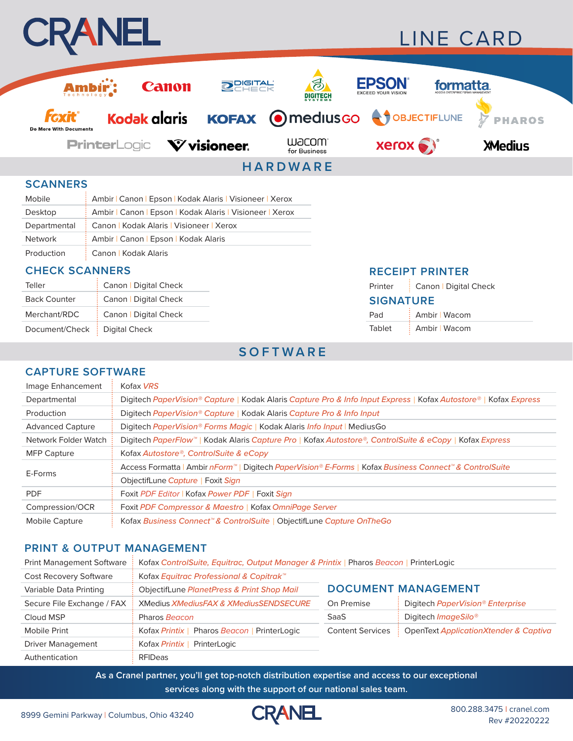

**HARDWARE**

#### **SCANNERS**

| Mobile         | Ambir   Canon   Epson   Kodak Alaris   Visioneer   Xerox |
|----------------|----------------------------------------------------------|
| Desktop        | Ambir   Canon   Epson   Kodak Alaris   Visioneer   Xerox |
| Departmental   | : Canon   Kodak Alaris   Visioneer   Xerox               |
| <b>Network</b> | : Ambir   Canon   Epson   Kodak Alaris                   |
| Production     | : Canon   Kodak Alaris                                   |

#### **CHECK SCANNERS**

| Teller              | Canon   Digital Check |
|---------------------|-----------------------|
| <b>Back Counter</b> | Canon   Digital Check |
| Merchant/RDC        | Canon   Digital Check |
| Document/Check      | <b>Digital Check</b>  |

#### **RECEIPT PRINTER**

| Printer          | Canon   Digital Check |  |  |  |
|------------------|-----------------------|--|--|--|
| <b>SIGNATURE</b> |                       |  |  |  |
| Pad              | Ambir   Wacom         |  |  |  |
| Tablet           | Ambir   Wacom         |  |  |  |

# **SOFTWARE**

#### **CAPTURE SOFTWARE**

| Image Enhancement       | Kofax VRS                                                                                                                       |  |  |  |
|-------------------------|---------------------------------------------------------------------------------------------------------------------------------|--|--|--|
| Departmental            | Digitech PaperVision® Capture   Kodak Alaris Capture Pro & Info Input Express   Kofax Autostore®   Kofax Express                |  |  |  |
| Production              | Digitech PaperVision® Capture   Kodak Alaris Capture Pro & Info Input                                                           |  |  |  |
| <b>Advanced Capture</b> | Digitech PaperVision® Forms Magic   Kodak Alaris Info Input   MediusGo                                                          |  |  |  |
| Network Folder Watch    | Digitech PaperFlow™   Kodak Alaris Capture Pro   Kofax Autostore®, ControlSuite & eCopy   Kofax Express                         |  |  |  |
| <b>MFP Capture</b>      | Kofax Autostore®, ControlSuite & eCopy                                                                                          |  |  |  |
| E-Forms                 | Access Formatta   Ambir nForm <sup>™</sup>   Digitech PaperVision® E-Forms   Kofax Business Connect <sup>™</sup> & ControlSuite |  |  |  |
|                         | ObjectifLune Capture   Foxit Sign                                                                                               |  |  |  |
| <b>PDF</b>              | Foxit PDF Editor   Kofax Power PDF   Foxit Sign                                                                                 |  |  |  |
| Compression/OCR         | Foxit PDF Compressor & Maestro   Kofax OmniPage Server                                                                          |  |  |  |
| <b>Mobile Capture</b>   | Kofax Business Connect <sup>™</sup> & ControlSuite   ObjectifLune Capture OnTheGo                                               |  |  |  |

#### **PRINT & OUTPUT MANAGEMENT**

| <b>Print Management Software</b> | Kofax ControlSuite, Equitrac, Output Manager & Printix   Pharos Beacon   PrinterLogic |                         |                                              |  |
|----------------------------------|---------------------------------------------------------------------------------------|-------------------------|----------------------------------------------|--|
| <b>Cost Recovery Software</b>    | Kofax Equitrac Professional & Copitrak <sup>™</sup>                                   |                         |                                              |  |
| Variable Data Printing           | ObjectifLune PlanetPress & Print Shop Mail                                            |                         | <b>DOCUMENT MANAGEMENT</b>                   |  |
| Secure File Exchange / FAX       | On Premise<br><b>XMedius XMediusFAX &amp; XMediusSENDSECURE</b>                       |                         | Digitech PaperVision <sup>®</sup> Enterprise |  |
| Cloud MSP                        | Pharos Beacon                                                                         | SaaS                    | Digitech <i>ImageSilo<sup>®</sup></i>        |  |
| Mobile Print                     | Kofax <i>Printix</i>   Pharos Beacon  <br>PrinterLogic                                | <b>Content Services</b> | OpenText Application Xtender & Captiva       |  |
| <b>Driver Management</b>         | Kofax <i>Printix</i>   PrinterLogic                                                   |                         |                                              |  |
| Authentication                   | <b>RFIDeas</b>                                                                        |                         |                                              |  |

**As a Cranel partner, you'll get top-notch distribution expertise and access to our exceptional services along with the support of our national sales team.**